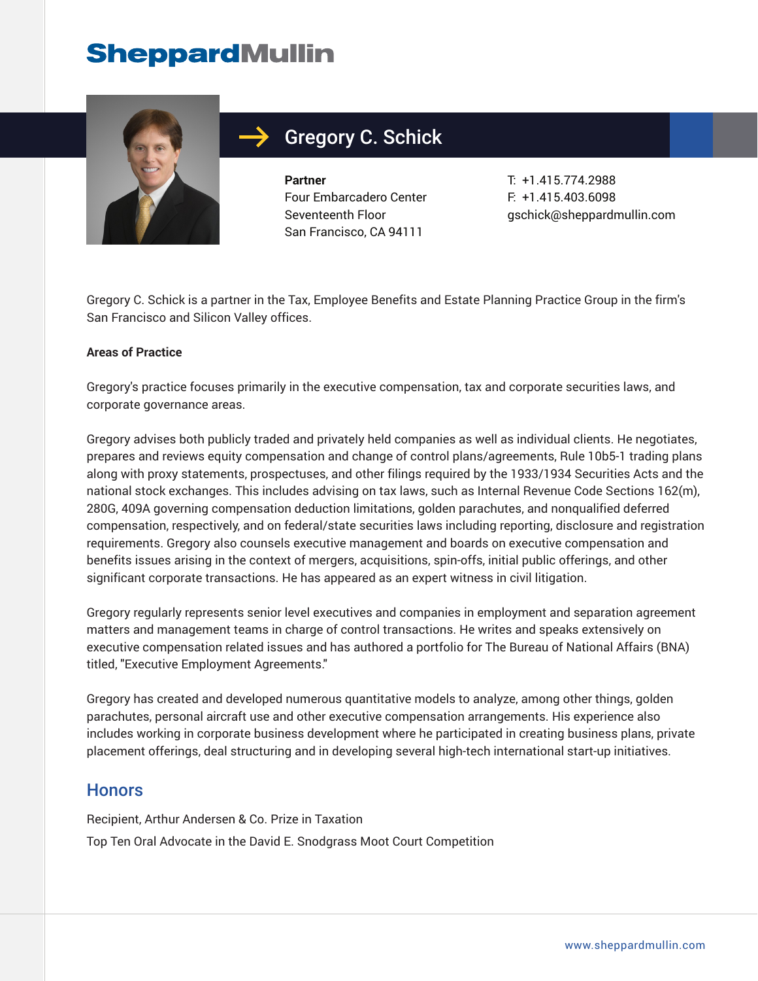

## Gregory C. Schick

**Partner** Four Embarcadero Center Seventeenth Floor San Francisco, CA 94111

T: +1.415.774.2988 F: +1.415.403.6098 gschick@sheppardmullin.com

Gregory C. Schick is a partner in the Tax, Employee Benefits and Estate Planning Practice Group in the firm's San Francisco and Silicon Valley offices.

#### **Areas of Practice**

Gregory's practice focuses primarily in the executive compensation, tax and corporate securities laws, and corporate governance areas.

Gregory advises both publicly traded and privately held companies as well as individual clients. He negotiates, prepares and reviews equity compensation and change of control plans/agreements, Rule 10b5-1 trading plans along with proxy statements, prospectuses, and other filings required by the 1933/1934 Securities Acts and the national stock exchanges. This includes advising on tax laws, such as Internal Revenue Code Sections 162(m), 280G, 409A governing compensation deduction limitations, golden parachutes, and nonqualified deferred compensation, respectively, and on federal/state securities laws including reporting, disclosure and registration requirements. Gregory also counsels executive management and boards on executive compensation and benefits issues arising in the context of mergers, acquisitions, spin-offs, initial public offerings, and other significant corporate transactions. He has appeared as an expert witness in civil litigation.

Gregory regularly represents senior level executives and companies in employment and separation agreement matters and management teams in charge of control transactions. He writes and speaks extensively on executive compensation related issues and has authored a portfolio for The Bureau of National Affairs (BNA) titled, "Executive Employment Agreements."

Gregory has created and developed numerous quantitative models to analyze, among other things, golden parachutes, personal aircraft use and other executive compensation arrangements. His experience also includes working in corporate business development where he participated in creating business plans, private placement offerings, deal structuring and in developing several high-tech international start-up initiatives.

### **Honors**

Recipient, Arthur Andersen & Co. Prize in Taxation Top Ten Oral Advocate in the David E. Snodgrass Moot Court Competition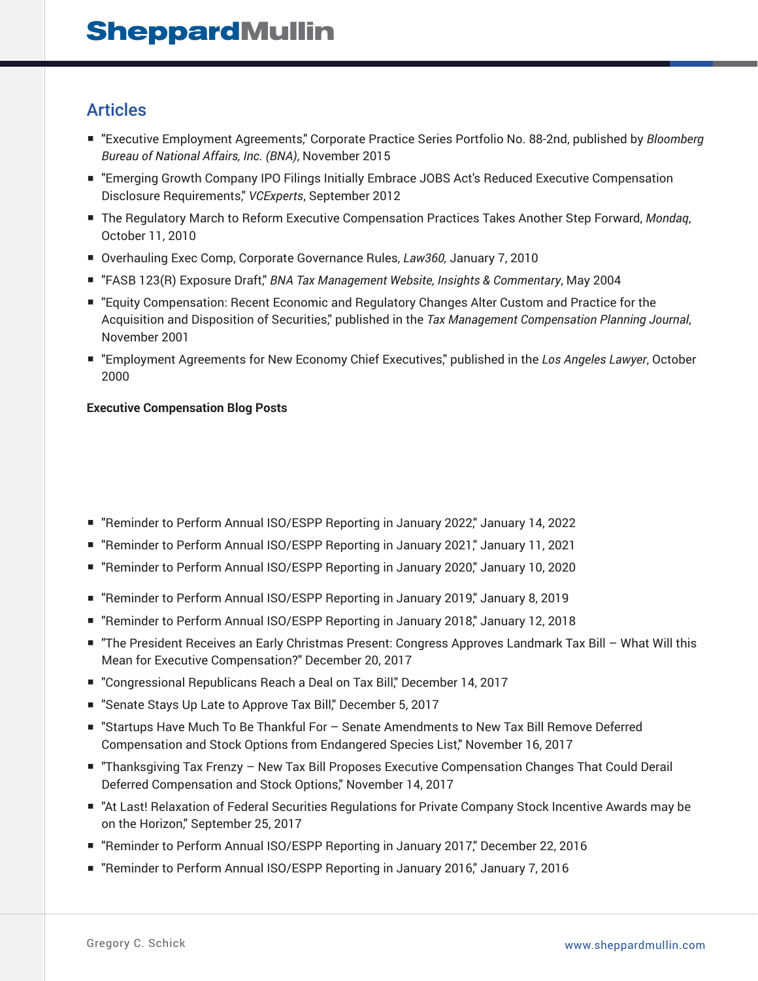### Articles

- "Executive Employment Agreements," Corporate Practice Series Portfolio No. 88-2nd, published by *Bloomberg Bureau of National Affairs, Inc. (BNA)*, November 2015
- "Emerging Growth Company IPO Filings Initially Embrace JOBS Act's Reduced Executive Compensation Disclosure Requirements," *VCExperts*, September 2012
- The Regulatory March to Reform Executive Compensation Practices Takes Another Step Forward, Mondaq, October 11, 2010
- Overhauling Exec Comp, Corporate Governance Rules, *Law360, January 7, 2010*
- "FASB 123(R) Exposure Draft," *BNA Tax Management Website, Insights & Commentary*, May 2004
- "Equity Compensation: Recent Economic and Regulatory Changes Alter Custom and Practice for the Acquisition and Disposition of Securities," published in the *Tax Management Compensation Planning Journal*, November 2001
- "Employment Agreements for New Economy Chief Executives," published in the *Los Angeles Lawyer*, October 2000

#### **Executive Compensation Blog Posts**

- "Reminder to Perform Annual ISO/ESPP Reporting in January 2022," January 14, 2022
- "Reminder to Perform Annual ISO/ESPP Reporting in January 2021," January 11, 2021
- "Reminder to Perform Annual ISO/ESPP Reporting in January 2020," January 10, 2020
- "Reminder to Perform Annual ISO/ESPP Reporting in January 2019," January 8, 2019
- "Reminder to Perform Annual ISO/ESPP Reporting in January 2018," January 12, 2018
- "The President Receives an Early Christmas Present: Congress Approves Landmark Tax Bill What Will this Mean for Executive Compensation?" December 20, 2017
- "Congressional Republicans Reach a Deal on Tax Bill," December 14, 2017
- "Senate Stays Up Late to Approve Tax Bill," December 5, 2017
- "Startups Have Much To Be Thankful For Senate Amendments to New Tax Bill Remove Deferred Compensation and Stock Options from Endangered Species List," November 16, 2017
- "Thanksgiving Tax Frenzy New Tax Bill Proposes Executive Compensation Changes That Could Derail Deferred Compensation and Stock Options," November 14, 2017
- "At Last! Relaxation of Federal Securities Regulations for Private Company Stock Incentive Awards may be on the Horizon," September 25, 2017
- "Reminder to Perform Annual ISO/ESPP Reporting in January 2017," December 22, 2016
- "Reminder to Perform Annual ISO/ESPP Reporting in January 2016," January 7, 2016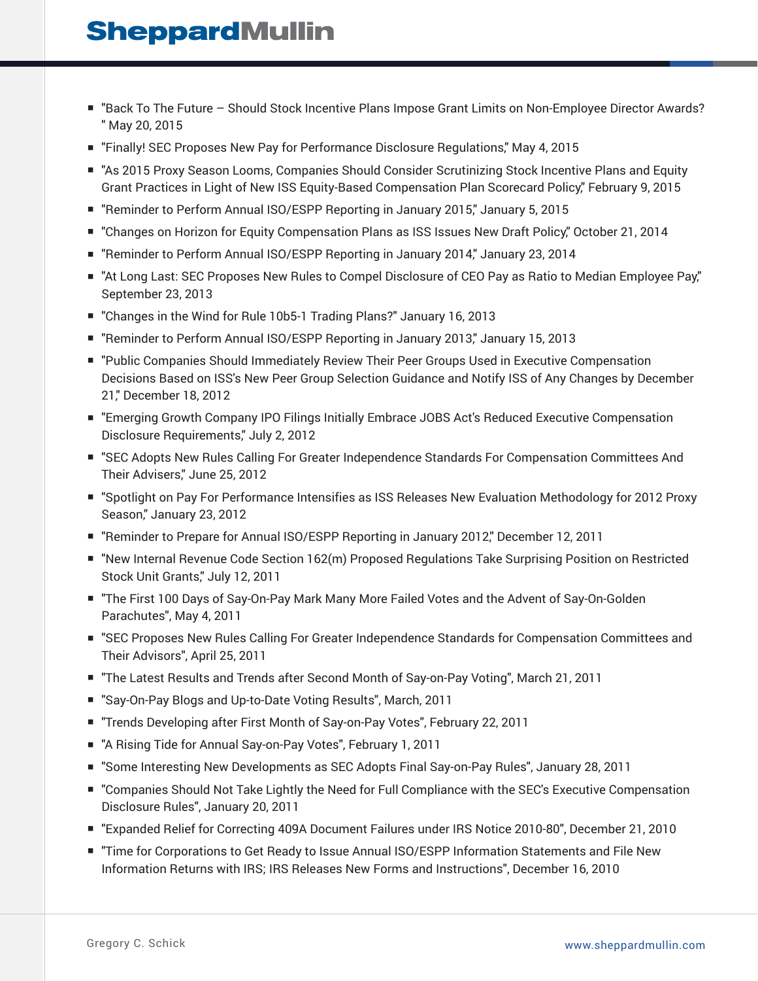- "Back To The Future Should Stock Incentive Plans Impose Grant Limits on Non-Employee Director Awards? " May 20, 2015
- "Finally! SEC Proposes New Pay for Performance Disclosure Regulations," May 4, 2015
- "As 2015 Proxy Season Looms, Companies Should Consider Scrutinizing Stock Incentive Plans and Equity Grant Practices in Light of New ISS Equity-Based Compensation Plan Scorecard Policy," February 9, 2015
- "Reminder to Perform Annual ISO/ESPP Reporting in January 2015," January 5, 2015
- "Changes on Horizon for Equity Compensation Plans as ISS Issues New Draft Policy," October 21, 2014
- "Reminder to Perform Annual ISO/ESPP Reporting in January 2014," January 23, 2014
- "At Long Last: SEC Proposes New Rules to Compel Disclosure of CEO Pay as Ratio to Median Employee Pay," September 23, 2013
- "Changes in the Wind for Rule 10b5-1 Trading Plans?" January 16, 2013
- "Reminder to Perform Annual ISO/ESPP Reporting in January 2013," January 15, 2013
- "Public Companies Should Immediately Review Their Peer Groups Used in Executive Compensation Decisions Based on ISS's New Peer Group Selection Guidance and Notify ISS of Any Changes by December 21," December 18, 2012
- "Emerging Growth Company IPO Filings Initially Embrace JOBS Act's Reduced Executive Compensation Disclosure Requirements," July 2, 2012
- "SEC Adopts New Rules Calling For Greater Independence Standards For Compensation Committees And Their Advisers," June 25, 2012
- "Spotlight on Pay For Performance Intensifies as ISS Releases New Evaluation Methodology for 2012 Proxy Season," January 23, 2012
- "Reminder to Prepare for Annual ISO/ESPP Reporting in January 2012," December 12, 2011
- "New Internal Revenue Code Section 162(m) Proposed Regulations Take Surprising Position on Restricted Stock Unit Grants," July 12, 2011
- "The First 100 Days of Say-On-Pay Mark Many More Failed Votes and the Advent of Say-On-Golden Parachutes", May 4, 2011
- "SEC Proposes New Rules Calling For Greater Independence Standards for Compensation Committees and Their Advisors", April 25, 2011
- "The Latest Results and Trends after Second Month of Say-on-Pay Voting", March 21, 2011
- "Say-On-Pay Blogs and Up-to-Date Voting Results", March, 2011
- "Trends Developing after First Month of Say-on-Pay Votes", February 22, 2011
- "A Rising Tide for Annual Say-on-Pay Votes", February 1, 2011
- "Some Interesting New Developments as SEC Adopts Final Say-on-Pay Rules", January 28, 2011
- "Companies Should Not Take Lightly the Need for Full Compliance with the SEC's Executive Compensation Disclosure Rules", January 20, 2011
- "Expanded Relief for Correcting 409A Document Failures under IRS Notice 2010-80", December 21, 2010
- "Time for Corporations to Get Ready to Issue Annual ISO/ESPP Information Statements and File New Information Returns with IRS; IRS Releases New Forms and Instructions", December 16, 2010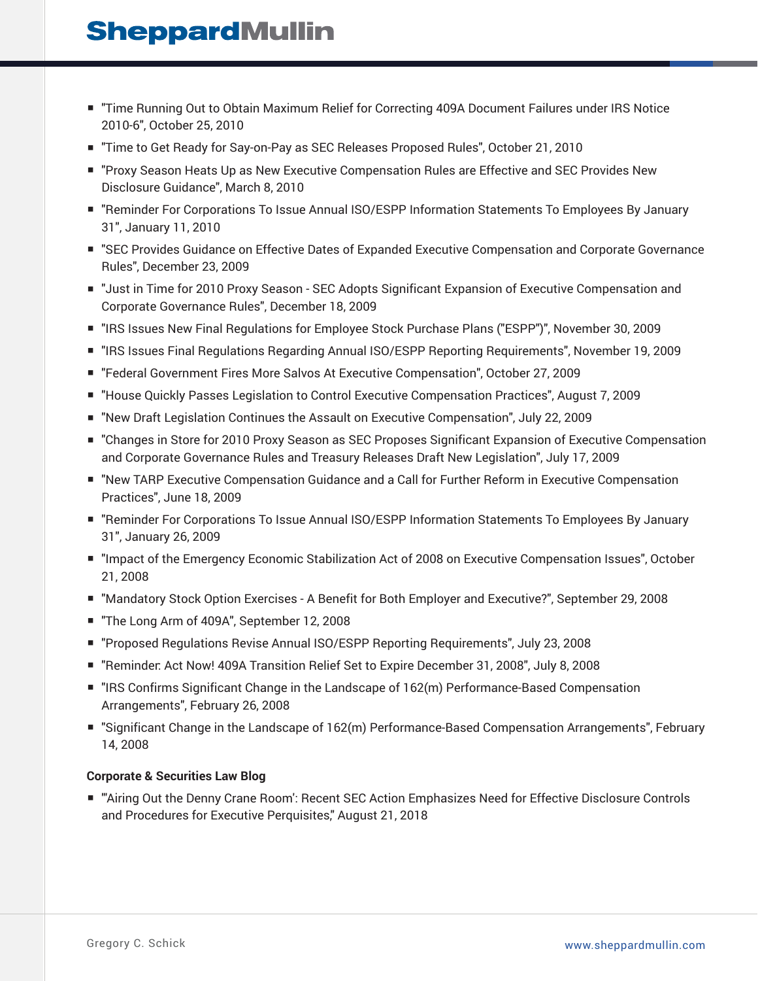- "Time Running Out to Obtain Maximum Relief for Correcting 409A Document Failures under IRS Notice 2010-6", October 25, 2010
- "Time to Get Ready for Say-on-Pay as SEC Releases Proposed Rules", October 21, 2010
- "Proxy Season Heats Up as New Executive Compensation Rules are Effective and SEC Provides New Disclosure Guidance", March 8, 2010
- "Reminder For Corporations To Issue Annual ISO/ESPP Information Statements To Employees By January 31", January 11, 2010
- "SEC Provides Guidance on Effective Dates of Expanded Executive Compensation and Corporate Governance Rules", December 23, 2009
- "Just in Time for 2010 Proxy Season SEC Adopts Significant Expansion of Executive Compensation and Corporate Governance Rules", December 18, 2009
- "IRS Issues New Final Regulations for Employee Stock Purchase Plans ("ESPP")", November 30, 2009
- "IRS Issues Final Regulations Regarding Annual ISO/ESPP Reporting Requirements", November 19, 2009
- "Federal Government Fires More Salvos At Executive Compensation", October 27, 2009
- "House Quickly Passes Legislation to Control Executive Compensation Practices", August 7, 2009
- "New Draft Legislation Continues the Assault on Executive Compensation", July 22, 2009
- "Changes in Store for 2010 Proxy Season as SEC Proposes Significant Expansion of Executive Compensation and Corporate Governance Rules and Treasury Releases Draft New Legislation", July 17, 2009
- "New TARP Executive Compensation Guidance and a Call for Further Reform in Executive Compensation Practices", June 18, 2009
- "Reminder For Corporations To Issue Annual ISO/ESPP Information Statements To Employees By January 31", January 26, 2009
- "Impact of the Emergency Economic Stabilization Act of 2008 on Executive Compensation Issues", October 21, 2008
- "Mandatory Stock Option Exercises A Benefit for Both Employer and Executive?", September 29, 2008
- "The Long Arm of 409A", September 12, 2008
- "Proposed Regulations Revise Annual ISO/ESPP Reporting Reguirements", July 23, 2008
- "Reminder: Act Now! 409A Transition Relief Set to Expire December 31, 2008", July 8, 2008
- "IRS Confirms Significant Change in the Landscape of 162(m) Performance-Based Compensation Arrangements", February 26, 2008
- "Significant Change in the Landscape of 162(m) Performance-Based Compensation Arrangements", February 14, 2008

#### **Corporate & Securities Law Blog**

■ "'Airing Out the Denny Crane Room': Recent SEC Action Emphasizes Need for Effective Disclosure Controls and Procedures for Executive Perquisites," August 21, 2018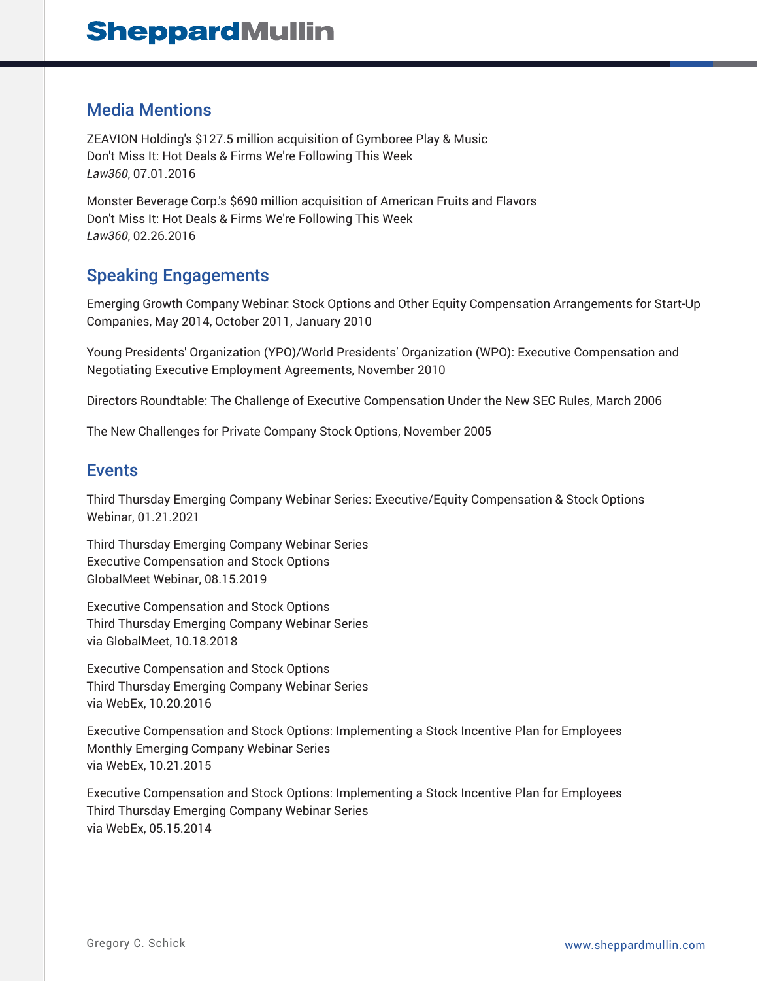### Media Mentions

ZEAVION Holding's \$127.5 million acquisition of Gymboree Play & Music Don't Miss It: Hot Deals & Firms We're Following This Week *Law360*, 07.01.2016

Monster Beverage Corp.'s \$690 million acquisition of American Fruits and Flavors Don't Miss It: Hot Deals & Firms We're Following This Week *Law360*, 02.26.2016

## Speaking Engagements

Emerging Growth Company Webinar: Stock Options and Other Equity Compensation Arrangements for Start-Up Companies, May 2014, October 2011, January 2010

Young Presidents' Organization (YPO)/World Presidents' Organization (WPO): Executive Compensation and Negotiating Executive Employment Agreements, November 2010

Directors Roundtable: The Challenge of Executive Compensation Under the New SEC Rules, March 2006

The New Challenges for Private Company Stock Options, November 2005

### Events

Third Thursday Emerging Company Webinar Series: Executive/Equity Compensation & Stock Options Webinar, 01.21.2021

Third Thursday Emerging Company Webinar Series Executive Compensation and Stock Options GlobalMeet Webinar, 08.15.2019

Executive Compensation and Stock Options Third Thursday Emerging Company Webinar Series via GlobalMeet, 10.18.2018

Executive Compensation and Stock Options Third Thursday Emerging Company Webinar Series via WebEx, 10.20.2016

Executive Compensation and Stock Options: Implementing a Stock Incentive Plan for Employees Monthly Emerging Company Webinar Series via WebEx, 10.21.2015

Executive Compensation and Stock Options: Implementing a Stock Incentive Plan for Employees Third Thursday Emerging Company Webinar Series via WebEx, 05.15.2014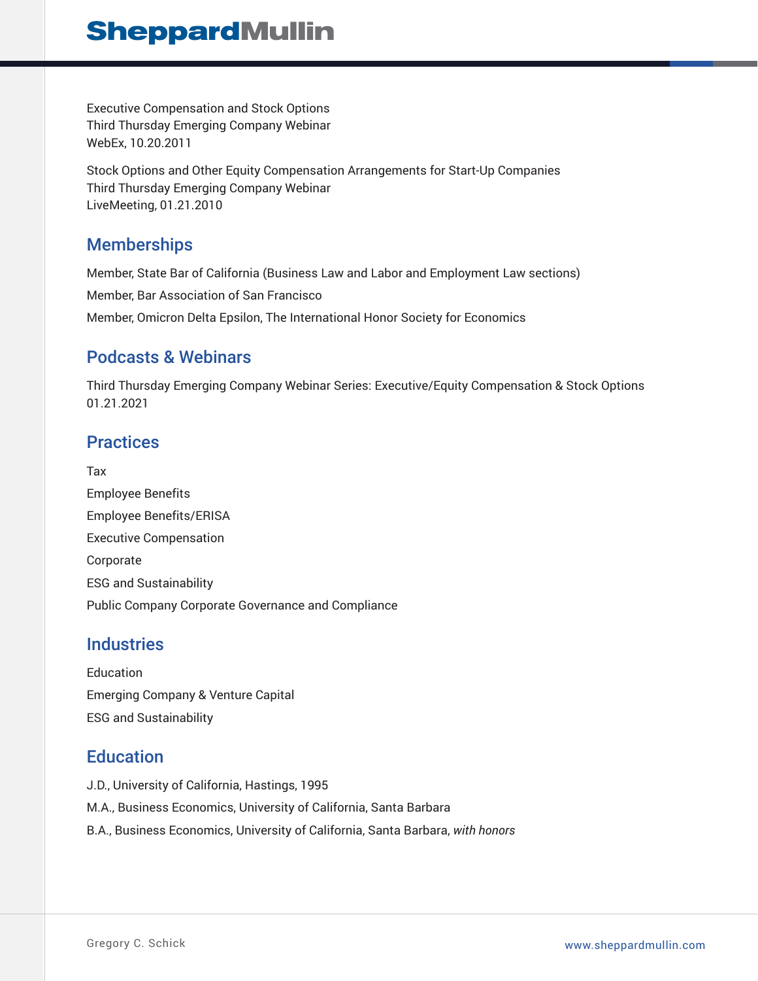Executive Compensation and Stock Options Third Thursday Emerging Company Webinar WebEx, 10.20.2011

Stock Options and Other Equity Compensation Arrangements for Start-Up Companies Third Thursday Emerging Company Webinar LiveMeeting, 01.21.2010

## **Memberships**

Member, State Bar of California (Business Law and Labor and Employment Law sections) Member, Bar Association of San Francisco Member, Omicron Delta Epsilon, The International Honor Society for Economics

## Podcasts & Webinars

Third Thursday Emerging Company Webinar Series: Executive/Equity Compensation & Stock Options 01.21.2021

## **Practices**

Tax Employee Benefits Employee Benefits/ERISA Executive Compensation Corporate ESG and Sustainability Public Company Corporate Governance and Compliance

## **Industries**

Education Emerging Company & Venture Capital ESG and Sustainability

### **Education**

J.D., University of California, Hastings, 1995 M.A., Business Economics, University of California, Santa Barbara B.A., Business Economics, University of California, Santa Barbara, *with honors*